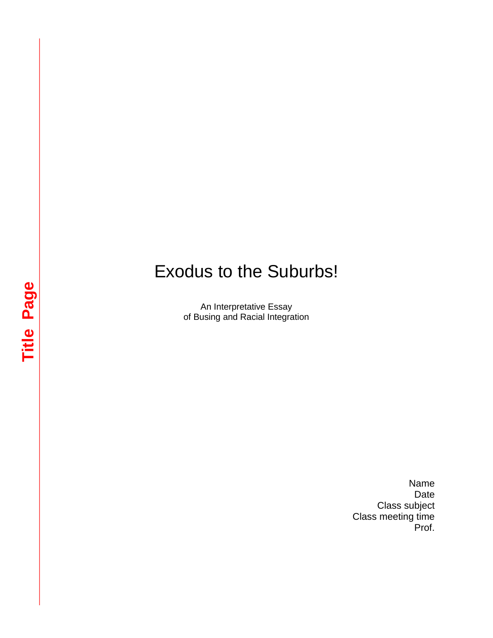## Exodus to the Suburbs!

An Interpretative Essay of Busing and Racial Integration

> Name Date Class subject Class meeting time Prof.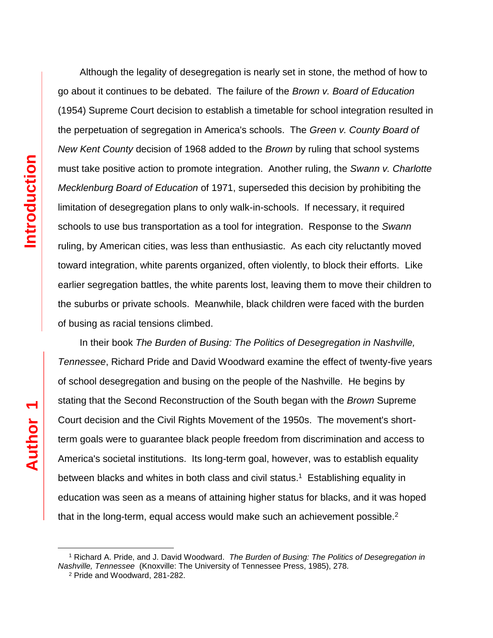Although the legality of desegregation is nearly set in stone, the method of how to go about it continues to be debated. The failure of the *Brown v. Board of Education*  (1954) Supreme Court decision to establish a timetable for school integration resulted in the perpetuation of segregation in America's schools. The *Green v. County Board of New Kent County* decision of 1968 added to the *Brown* by ruling that school systems must take positive action to promote integration. Another ruling, the *Swann v. Charlotte Mecklenburg Board of Education* of 1971, superseded this decision by prohibiting the limitation of desegregation plans to only walk-in-schools. If necessary, it required schools to use bus transportation as a tool for integration. Response to the *Swann* ruling, by American cities, was less than enthusiastic. As each city reluctantly moved toward integration, white parents organized, often violently, to block their efforts. Like earlier segregation battles, the white parents lost, leaving them to move their children to the suburbs or private schools. Meanwhile, black children were faced with the burden of busing as racial tensions climbed.

In their book *The Burden of Busing: The Politics of Desegregation in Nashville, Tennessee*, Richard Pride and David Woodward examine the effect of twenty-five years of school desegregation and busing on the people of the Nashville. He begins by stating that the Second Reconstruction of the South began with the *Brown* Supreme Court decision and the Civil Rights Movement of the 1950s. The movement's shortterm goals were to guarantee black people freedom from discrimination and access to America's societal institutions. Its long-term goal, however, was to establish equality between blacks and whites in both class and civil status.<sup>1</sup> Establishing equality in education was seen as a means of attaining higher status for blacks, and it was hoped that in the long-term, equal access would make such an achievement possible. $2$ 

J.

<sup>1</sup> Richard A. Pride, and J. David Woodward. *The Burden of Busing: The Politics of Desegregation in Nashville, Tennessee* (Knoxville: The University of Tennessee Press, 1985), 278.

<sup>2</sup> Pride and Woodward, 281-282.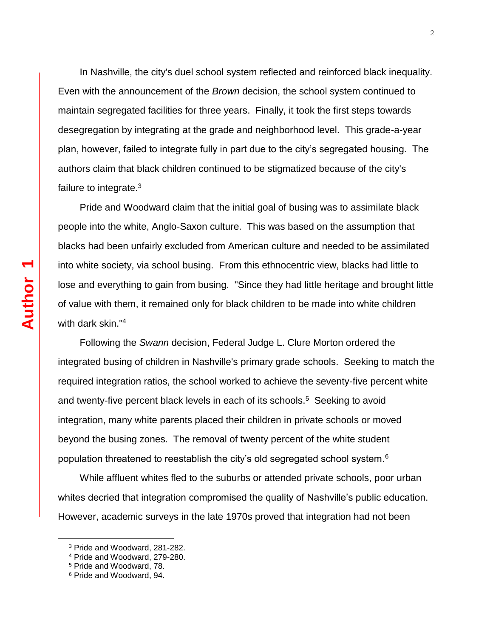In Nashville, the city's duel school system reflected and reinforced black inequality. Even with the announcement of the *Brown* decision, the school system continued to maintain segregated facilities for three years. Finally, it took the first steps towards desegregation by integrating at the grade and neighborhood level. This grade-a-year plan, however, failed to integrate fully in part due to the city's segregated housing. The authors claim that black children continued to be stigmatized because of the city's failure to integrate.<sup>3</sup>

Pride and Woodward claim that the initial goal of busing was to assimilate black people into the white, Anglo-Saxon culture. This was based on the assumption that blacks had been unfairly excluded from American culture and needed to be assimilated into white society, via school busing. From this ethnocentric view, blacks had little to lose and everything to gain from busing. "Since they had little heritage and brought little of value with them, it remained only for black children to be made into white children with dark skin."<sup>4</sup>

Following the *Swann* decision, Federal Judge L. Clure Morton ordered the integrated busing of children in Nashville's primary grade schools. Seeking to match the required integration ratios, the school worked to achieve the seventy-five percent white and twenty-five percent black levels in each of its schools.<sup>5</sup> Seeking to avoid integration, many white parents placed their children in private schools or moved beyond the busing zones. The removal of twenty percent of the white student population threatened to reestablish the city's old segregated school system. $6$ 

While affluent whites fled to the suburbs or attended private schools, poor urban whites decried that integration compromised the quality of Nashville's public education. However, academic surveys in the late 1970s proved that integration had not been

÷,

<sup>3</sup> Pride and Woodward, 281-282.

<sup>4</sup> Pride and Woodward, 279-280.

<sup>5</sup> Pride and Woodward, 78.

<sup>6</sup> Pride and Woodward, 94.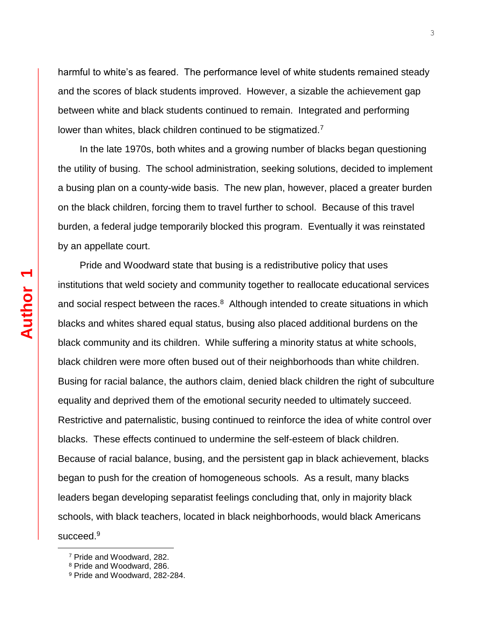harmful to white's as feared. The performance level of white students remained steady and the scores of black students improved. However, a sizable the achievement gap between white and black students continued to remain. Integrated and performing lower than whites, black children continued to be stigmatized.<sup>7</sup>

In the late 1970s, both whites and a growing number of blacks began questioning the utility of busing. The school administration, seeking solutions, decided to implement a busing plan on a county-wide basis. The new plan, however, placed a greater burden on the black children, forcing them to travel further to school. Because of this travel burden, a federal judge temporarily blocked this program. Eventually it was reinstated by an appellate court.

Pride and Woodward state that busing is a redistributive policy that uses institutions that weld society and community together to reallocate educational services and social respect between the races. $8$  Although intended to create situations in which blacks and whites shared equal status, busing also placed additional burdens on the black community and its children. While suffering a minority status at white schools, black children were more often bused out of their neighborhoods than white children. Busing for racial balance, the authors claim, denied black children the right of subculture equality and deprived them of the emotional security needed to ultimately succeed. Restrictive and paternalistic, busing continued to reinforce the idea of white control over blacks. These effects continued to undermine the self-esteem of black children. Because of racial balance, busing, and the persistent gap in black achievement, blacks began to push for the creation of homogeneous schools. As a result, many blacks leaders began developing separatist feelings concluding that, only in majority black schools, with black teachers, located in black neighborhoods, would black Americans succeed.<sup>9</sup>

J.

<sup>7</sup> Pride and Woodward, 282.

<sup>8</sup> Pride and Woodward, 286.

<sup>9</sup> Pride and Woodward, 282-284.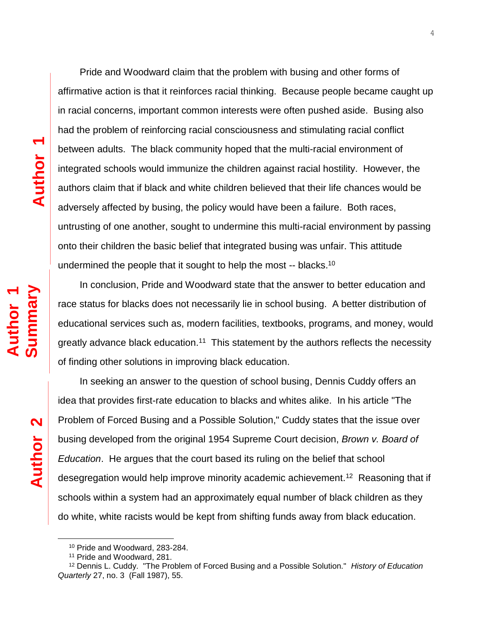Pride and Woodward claim that the problem with busing and other forms of affirmative action is that it reinforces racial thinking. Because people became caught up in racial concerns, important common interests were often pushed aside. Busing also had the problem of reinforcing racial consciousness and stimulating racial conflict between adults. The black community hoped that the multi-racial environment of integrated schools would immunize the children against racial hostility. However, the authors claim that if black and white children believed that their life chances would be adversely affected by busing, the policy would have been a failure. Both races, untrusting of one another, sought to undermine this multi-racial environment by passing onto their children the basic belief that integrated busing was unfair. This attitude undermined the people that it sought to help the most -- blacks.<sup>10</sup>

4

In conclusion, Pride and Woodward state that the answer to better education and race status for blacks does not necessarily lie in school busing. A better distribution of educational services such as, modern facilities, textbooks, programs, and money, would greatly advance black education.<sup>11</sup> This statement by the authors reflects the necessity of finding other solutions in improving black education.

In seeking an answer to the question of school busing, Dennis Cuddy offers an idea that provides first-rate education to blacks and whites alike. In his article "The Problem of Forced Busing and a Possible Solution," Cuddy states that the issue over busing developed from the original 1954 Supreme Court decision, *Brown v. Board of Education*. He argues that the court based its ruling on the belief that school desegregation would help improve minority academic achievement.<sup>12</sup> Reasoning that if schools within a system had an approximately equal number of black children as they do white, white racists would be kept from shifting funds away from black education.

÷,

**Author 2**

<sup>10</sup> Pride and Woodward, 283-284.

<sup>11</sup> Pride and Woodward, 281.

<sup>12</sup> Dennis L. Cuddy. "The Problem of Forced Busing and a Possible Solution." *History of Education Quarterly* 27, no. 3 (Fall 1987), 55.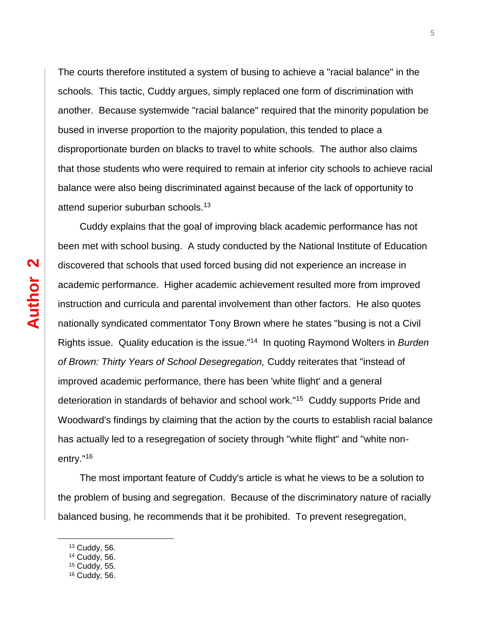The courts therefore instituted a system of busing to achieve a "racial balance" in the schools. This tactic, Cuddy argues, simply replaced one form of discrimination with another. Because systemwide "racial balance" required that the minority population be bused in inverse proportion to the majority population, this tended to place a disproportionate burden on blacks to travel to white schools. The author also claims that those students who were required to remain at inferior city schools to achieve racial balance were also being discriminated against because of the lack of opportunity to attend superior suburban schools.<sup>13</sup>

Cuddy explains that the goal of improving black academic performance has not been met with school busing. A study conducted by the National Institute of Education discovered that schools that used forced busing did not experience an increase in academic performance. Higher academic achievement resulted more from improved instruction and curricula and parental involvement than other factors. He also quotes nationally syndicated commentator Tony Brown where he states "busing is not a Civil Rights issue. Quality education is the issue."<sup>14</sup> In quoting Raymond Wolters in *Burden of Brown: Thirty Years of School Desegregation,* Cuddy reiterates that "instead of improved academic performance, there has been 'white flight' and a general deterioration in standards of behavior and school work."<sup>15</sup> Cuddy supports Pride and Woodward's findings by claiming that the action by the courts to establish racial balance has actually led to a resegregation of society through "white flight" and "white nonentry."<sup>16</sup>

The most important feature of Cuddy's article is what he views to be a solution to the problem of busing and segregation. Because of the discriminatory nature of racially balanced busing, he recommends that it be prohibited. To prevent resegregation,

÷,

<sup>13</sup> Cuddy, 56.

<sup>14</sup> Cuddy, 56.

<sup>15</sup> Cuddy, 55.

<sup>16</sup> Cuddy, 56.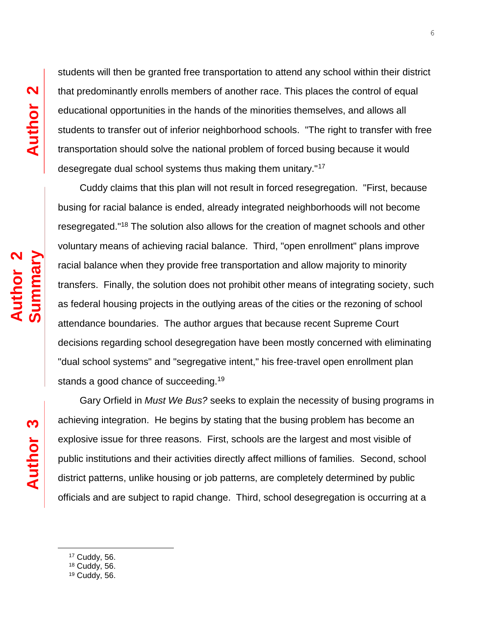students will then be granted free transportation to attend any school within their district that predominantly enrolls members of another race. This places the control of equal educational opportunities in the hands of the minorities themselves, and allows all students to transfer out of inferior neighborhood schools. "The right to transfer with free transportation should solve the national problem of forced busing because it would desegregate dual school systems thus making them unitary."<sup>17</sup>

Cuddy claims that this plan will not result in forced resegregation. "First, because busing for racial balance is ended, already integrated neighborhoods will not become resegregated."<sup>18</sup> The solution also allows for the creation of magnet schools and other voluntary means of achieving racial balance. Third, "open enrollment" plans improve racial balance when they provide free transportation and allow majority to minority transfers. Finally, the solution does not prohibit other means of integrating society, such as federal housing projects in the outlying areas of the cities or the rezoning of school attendance boundaries. The author argues that because recent Supreme Court decisions regarding school desegregation have been mostly concerned with eliminating "dual school systems" and "segregative intent," his free-travel open enrollment plan stands a good chance of succeeding.<sup>19</sup>

Gary Orfield in *Must We Bus?* seeks to explain the necessity of busing programs in achieving integration. He begins by stating that the busing problem has become an explosive issue for three reasons. First, schools are the largest and most visible of public institutions and their activities directly affect millions of families. Second, school district patterns, unlike housing or job patterns, are completely determined by public officials and are subject to rapid change. Third, school desegregation is occurring at a

<sup>17</sup> Cuddy, 56.

J.

<sup>18</sup> Cuddy, 56.

**Author 3**

 $19$  Cuddy, 56.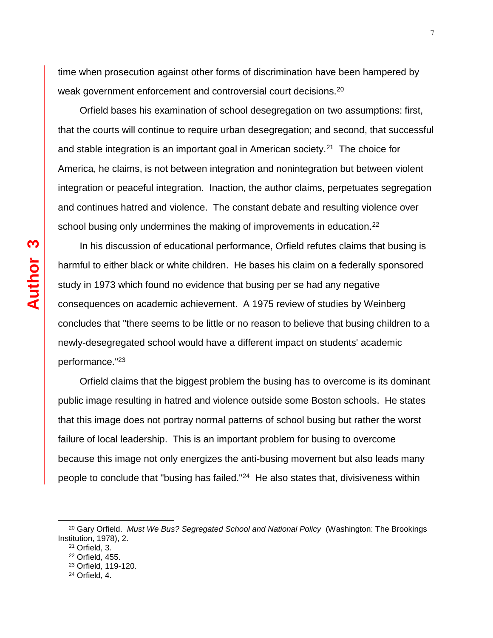time when prosecution against other forms of discrimination have been hampered by weak government enforcement and controversial court decisions.<sup>20</sup>

Orfield bases his examination of school desegregation on two assumptions: first, that the courts will continue to require urban desegregation; and second, that successful and stable integration is an important goal in American society.<sup>21</sup> The choice for America, he claims, is not between integration and nonintegration but between violent integration or peaceful integration. Inaction, the author claims, perpetuates segregation and continues hatred and violence. The constant debate and resulting violence over school busing only undermines the making of improvements in education.<sup>22</sup>

In his discussion of educational performance, Orfield refutes claims that busing is harmful to either black or white children. He bases his claim on a federally sponsored study in 1973 which found no evidence that busing per se had any negative consequences on academic achievement. A 1975 review of studies by Weinberg concludes that "there seems to be little or no reason to believe that busing children to a newly-desegregated school would have a different impact on students' academic performance."<sup>23</sup>

Orfield claims that the biggest problem the busing has to overcome is its dominant public image resulting in hatred and violence outside some Boston schools. He states that this image does not portray normal patterns of school busing but rather the worst failure of local leadership. This is an important problem for busing to overcome because this image not only energizes the anti-busing movement but also leads many people to conclude that "busing has failed."<sup>24</sup> He also states that, divisiveness within

÷,

<sup>20</sup> Gary Orfield. *Must We Bus? Segregated School and National Policy* (Washington: The Brookings Institution, 1978), 2.

<sup>21</sup> Orfield, 3.

<sup>22</sup> Orfield, 455.

<sup>23</sup> Orfield, 119-120.

<sup>24</sup> Orfield, 4.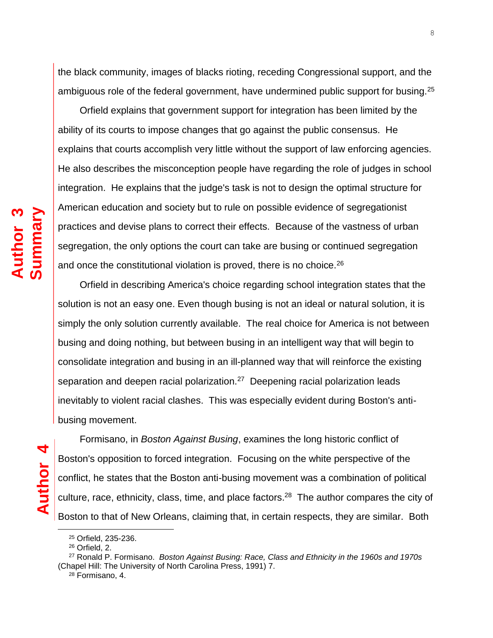the black community, images of blacks rioting, receding Congressional support, and the ambiguous role of the federal government, have undermined public support for busing.<sup>25</sup>

Orfield explains that government support for integration has been limited by the ability of its courts to impose changes that go against the public consensus. He explains that courts accomplish very little without the support of law enforcing agencies. He also describes the misconception people have regarding the role of judges in school integration. He explains that the judge's task is not to design the optimal structure for American education and society but to rule on possible evidence of segregationist practices and devise plans to correct their effects. Because of the vastness of urban segregation, the only options the court can take are busing or continued segregation and once the constitutional violation is proved, there is no choice.<sup>26</sup>

Orfield in describing America's choice regarding school integration states that the solution is not an easy one. Even though busing is not an ideal or natural solution, it is simply the only solution currently available. The real choice for America is not between busing and doing nothing, but between busing in an intelligent way that will begin to consolidate integration and busing in an ill-planned way that will reinforce the existing separation and deepen racial polarization.<sup>27</sup> Deepening racial polarization leads inevitably to violent racial clashes. This was especially evident during Boston's antibusing movement.

**Author 3**

**Summary**

j.

Formisano, in *Boston Against Busing*, examines the long historic conflict of Boston's opposition to forced integration. Focusing on the white perspective of the conflict, he states that the Boston anti-busing movement was a combination of political culture, race, ethnicity, class, time, and place factors.<sup>28</sup> The author compares the city of Boston to that of New Orleans, claiming that, in certain respects, they are similar. Both

<sup>25</sup> Orfield, 235-236.

<sup>26</sup> Orfield, 2.

<sup>27</sup> Ronald P. Formisano. *Boston Against Busing: Race, Class and Ethnicity in the 1960s and 1970s* (Chapel Hill: The University of North Carolina Press, 1991) 7.

<sup>28</sup> Formisano, 4.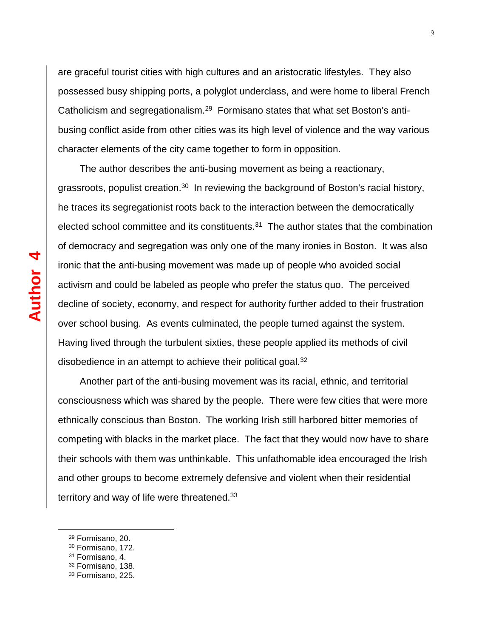are graceful tourist cities with high cultures and an aristocratic lifestyles. They also possessed busy shipping ports, a polyglot underclass, and were home to liberal French Catholicism and segregationalism.<sup>29</sup> Formisano states that what set Boston's antibusing conflict aside from other cities was its high level of violence and the way various character elements of the city came together to form in opposition.

The author describes the anti-busing movement as being a reactionary, grassroots, populist creation.<sup>30</sup> In reviewing the background of Boston's racial history, he traces its segregationist roots back to the interaction between the democratically elected school committee and its constituents.<sup>31</sup> The author states that the combination of democracy and segregation was only one of the many ironies in Boston. It was also ironic that the anti-busing movement was made up of people who avoided social activism and could be labeled as people who prefer the status quo. The perceived decline of society, economy, and respect for authority further added to their frustration over school busing. As events culminated, the people turned against the system. Having lived through the turbulent sixties, these people applied its methods of civil disobedience in an attempt to achieve their political goal.<sup>32</sup>

Another part of the anti-busing movement was its racial, ethnic, and territorial consciousness which was shared by the people. There were few cities that were more ethnically conscious than Boston. The working Irish still harbored bitter memories of competing with blacks in the market place. The fact that they would now have to share their schools with them was unthinkable. This unfathomable idea encouraged the Irish and other groups to become extremely defensive and violent when their residential territory and way of life were threatened.<sup>33</sup>

j.

<sup>29</sup> Formisano, 20.

<sup>30</sup> Formisano, 172.

<sup>31</sup> Formisano, 4.

<sup>32</sup> Formisano, 138.

<sup>33</sup> Formisano, 225.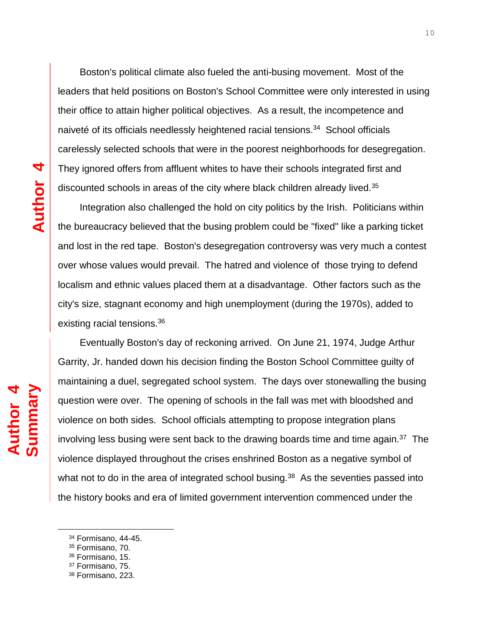Boston's political climate also fueled the anti-busing movement. Most of the leaders that held positions on Boston's School Committee were only interested in using their office to attain higher political objectives. As a result, the incompetence and naiveté of its officials needlessly heightened racial tensions.<sup>34</sup> School officials carelessly selected schools that were in the poorest neighborhoods for desegregation. They ignored offers from affluent whites to have their schools integrated first and discounted schools in areas of the city where black children already lived.<sup>35</sup>

Integration also challenged the hold on city politics by the Irish. Politicians within the bureaucracy believed that the busing problem could be "fixed" like a parking ticket and lost in the red tape. Boston's desegregation controversy was very much a contest over whose values would prevail. The hatred and violence of those trying to defend localism and ethnic values placed them at a disadvantage. Other factors such as the city's size, stagnant economy and high unemployment (during the 1970s), added to existing racial tensions.<sup>36</sup>

Eventually Boston's day of reckoning arrived. On June 21, 1974, Judge Arthur Garrity, Jr. handed down his decision finding the Boston School Committee guilty of maintaining a duel, segregated school system. The days over stonewalling the busing question were over. The opening of schools in the fall was met with bloodshed and violence on both sides. School officials attempting to propose integration plans involving less busing were sent back to the drawing boards time and time again. $37$  The violence displayed throughout the crises enshrined Boston as a negative symbol of what not to do in the area of integrated school busing. $38$  As the seventies passed into the history books and era of limited government intervention commenced under the

j.

**Author** 

**Summary**

**4**

<sup>34</sup> Formisano, 44-45.

<sup>35</sup> Formisano, 70.

<sup>36</sup> Formisano, 15.

<sup>37</sup> Formisano, 75.

<sup>38</sup> Formisano, 223.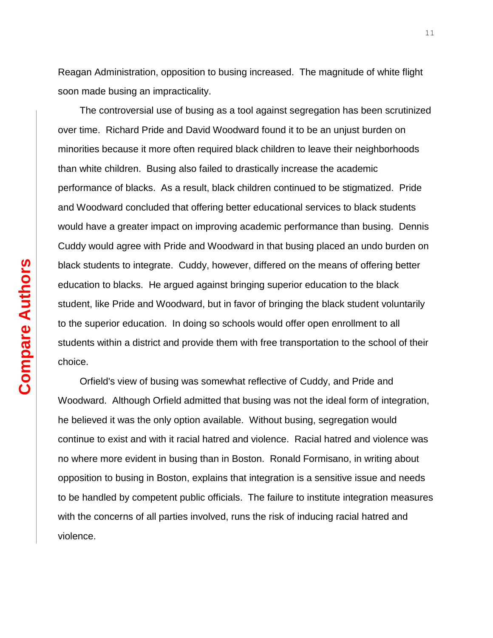Reagan Administration, opposition to busing increased. The magnitude of white flight soon made busing an impracticality.

The controversial use of busing as a tool against segregation has been scrutinized over time. Richard Pride and David Woodward found it to be an unjust burden on minorities because it more often required black children to leave their neighborhoods than white children. Busing also failed to drastically increase the academic performance of blacks. As a result, black children continued to be stigmatized. Pride and Woodward concluded that offering better educational services to black students would have a greater impact on improving academic performance than busing. Dennis Cuddy would agree with Pride and Woodward in that busing placed an undo burden on black students to integrate. Cuddy, however, differed on the means of offering better education to blacks. He argued against bringing superior education to the black student, like Pride and Woodward, but in favor of bringing the black student voluntarily to the superior education. In doing so schools would offer open enrollment to all students within a district and provide them with free transportation to the school of their choice.

Orfield's view of busing was somewhat reflective of Cuddy, and Pride and Woodward. Although Orfield admitted that busing was not the ideal form of integration, he believed it was the only option available. Without busing, segregation would continue to exist and with it racial hatred and violence. Racial hatred and violence was no where more evident in busing than in Boston. Ronald Formisano, in writing about opposition to busing in Boston, explains that integration is a sensitive issue and needs to be handled by competent public officials. The failure to institute integration measures with the concerns of all parties involved, runs the risk of inducing racial hatred and violence.